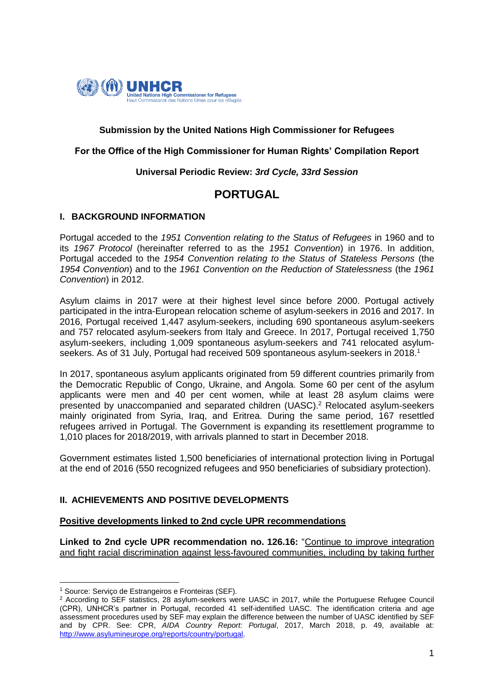

# **Submission by the United Nations High Commissioner for Refugees**

## **For the Office of the High Commissioner for Human Rights' Compilation Report**

## **Universal Periodic Review:** *3rd Cycle, 33rd Session*

# **PORTUGAL**

### **I. BACKGROUND INFORMATION**

Portugal acceded to the *1951 Convention relating to the Status of Refugees* in 1960 and to its *1967 Protocol* (hereinafter referred to as the *1951 Convention*) in 1976. In addition, Portugal acceded to the *1954 Convention relating to the Status of Stateless Persons* (the *1954 Convention*) and to the *1961 Convention on the Reduction of Statelessness* (the *1961 Convention*) in 2012.

Asylum claims in 2017 were at their highest level since before 2000. Portugal actively participated in the intra-European relocation scheme of asylum-seekers in 2016 and 2017. In 2016, Portugal received 1,447 asylum-seekers, including 690 spontaneous asylum-seekers and 757 relocated asylum-seekers from Italy and Greece. In 2017, Portugal received 1,750 asylum-seekers, including 1,009 spontaneous asylum-seekers and 741 relocated asylumseekers. As of 31 July, Portugal had received 509 spontaneous asylum-seekers in 2018.<sup>1</sup>

In 2017, spontaneous asylum applicants originated from 59 different countries primarily from the Democratic Republic of Congo, Ukraine, and Angola. Some 60 per cent of the asylum applicants were men and 40 per cent women, while at least 28 asylum claims were presented by unaccompanied and separated children (UASC). <sup>2</sup> Relocated asylum-seekers mainly originated from Syria, Iraq, and Eritrea. During the same period, 167 resettled refugees arrived in Portugal. The Government is expanding its resettlement programme to 1,010 places for 2018/2019, with arrivals planned to start in December 2018.

Government estimates listed 1,500 beneficiaries of international protection living in Portugal at the end of 2016 (550 recognized refugees and 950 beneficiaries of subsidiary protection).

# **II. ACHIEVEMENTS AND POSITIVE DEVELOPMENTS**

#### **Positive developments linked to 2nd cycle UPR recommendations**

**Linked to 2nd cycle UPR recommendation no. 126.16:** "Continue to improve integration and fight racial discrimination against less-favoured communities, including by taking further

**.** 

<sup>1</sup> Source: Serviço de Estrangeiros e Fronteiras (SEF).

<sup>&</sup>lt;sup>2</sup> According to SEF statistics, 28 asylum-seekers were UASC in 2017, while the Portuguese Refugee Council (CPR), UNHCR's partner in Portugal, recorded 41 self-identified UASC. The identification criteria and age assessment procedures used by SEF may explain the difference between the number of UASC identified by SEF and by CPR. See: CPR, *AIDA Country Report: Portugal*, 2017, March 2018, p. 49, available at: [http://www.asylumineurope.org/reports/country/portugal.](http://www.asylumineurope.org/reports/country/portugal)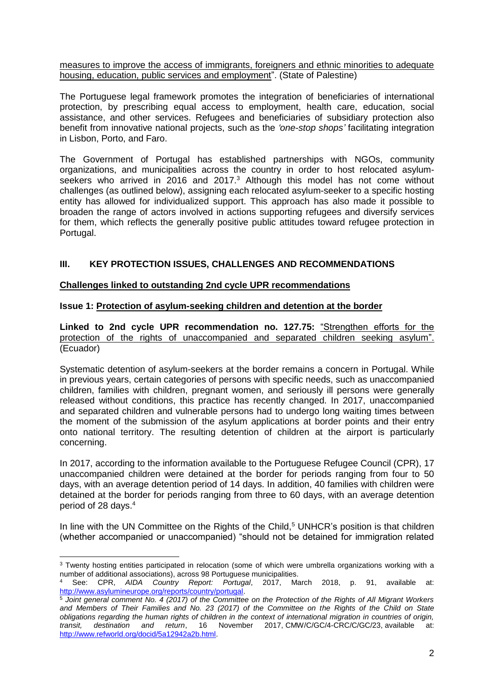measures to improve the access of immigrants, foreigners and ethnic minorities to adequate housing, education, public services and employment". (State of Palestine)

The Portuguese legal framework promotes the integration of beneficiaries of international protection, by prescribing equal access to employment, health care, education, social assistance, and other services. Refugees and beneficiaries of subsidiary protection also benefit from innovative national projects, such as the *'one-stop shops'* facilitating integration in Lisbon, Porto, and Faro.

The Government of Portugal has established partnerships with NGOs, community organizations, and municipalities across the country in order to host relocated asylumseekers who arrived in 2016 and 2017.<sup>3</sup> Although this model has not come without challenges (as outlined below), assigning each relocated asylum-seeker to a specific hosting entity has allowed for individualized support. This approach has also made it possible to broaden the range of actors involved in actions supporting refugees and diversify services for them, which reflects the generally positive public attitudes toward refugee protection in Portugal.

# **III. KEY PROTECTION ISSUES, CHALLENGES AND RECOMMENDATIONS**

# **Challenges linked to outstanding 2nd cycle UPR recommendations**

### **Issue 1: Protection of asylum-seeking children and detention at the border**

**Linked to 2nd cycle UPR recommendation no. 127.75:** "Strengthen efforts for the protection of the rights of unaccompanied and separated children seeking asylum". (Ecuador)

Systematic detention of asylum-seekers at the border remains a concern in Portugal. While in previous years, certain categories of persons with specific needs, such as unaccompanied children, families with children, pregnant women, and seriously ill persons were generally released without conditions, this practice has recently changed. In 2017, unaccompanied and separated children and vulnerable persons had to undergo long waiting times between the moment of the submission of the asylum applications at border points and their entry onto national territory. The resulting detention of children at the airport is particularly concerning.

In 2017, according to the information available to the Portuguese Refugee Council (CPR), 17 unaccompanied children were detained at the border for periods ranging from four to 50 days, with an average detention period of 14 days. In addition, 40 families with children were detained at the border for periods ranging from three to 60 days, with an average detention period of 28 days.<sup>4</sup>

In line with the UN Committee on the Rights of the Child,<sup>5</sup> UNHCR's position is that children (whether accompanied or unaccompanied) "should not be detained for immigration related

<sup>1</sup> <sup>3</sup> Twenty hosting entities participated in relocation (some of which were umbrella organizations working with a number of additional associations), across 98 Portuguese municipalities.

See: CPR, AIDA Country Report: Portugal, 2017, March 2018, p. 91, available at: [http://www.asylumineurope.org/reports/country/portugal.](http://www.asylumineurope.org/reports/country/portugal)

<sup>5</sup> *Joint general comment No. 4 (2017) of the Committee on the Protection of the Rights of All Migrant Workers and Members of Their Families and No. 23 (2017) of the Committee on the Rights of the Child on State obligations regarding the human rights of children in the context of international migration in countries of origin, transit, destination and return*, 16 November 2017, CMW/C/GC/4-CRC/C/GC/23, available at: [http://www.refworld.org/docid/5a12942a2b.html.](http://www.refworld.org/docid/5a12942a2b.html)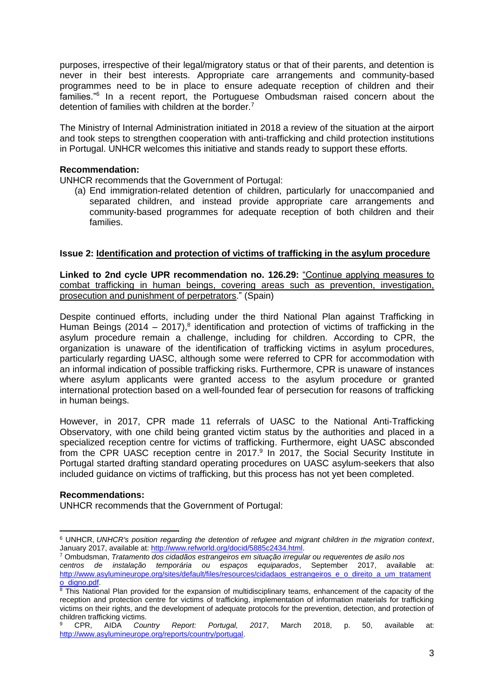purposes, irrespective of their legal/migratory status or that of their parents, and detention is never in their best interests. Appropriate care arrangements and community-based programmes need to be in place to ensure adequate reception of children and their families."<sup>6</sup> In a recent report, the Portuguese Ombudsman raised concern about the detention of families with children at the border.<sup>7</sup>

The Ministry of Internal Administration initiated in 2018 a review of the situation at the airport and took steps to strengthen cooperation with anti-trafficking and child protection institutions in Portugal. UNHCR welcomes this initiative and stands ready to support these efforts.

## **Recommendation:**

UNHCR recommends that the Government of Portugal:

(a) End immigration-related detention of children, particularly for unaccompanied and separated children, and instead provide appropriate care arrangements and community-based programmes for adequate reception of both children and their families.

### **Issue 2: Identification and protection of victims of trafficking in the asylum procedure**

**Linked to 2nd cycle UPR recommendation no. 126.29:** "Continue applying measures to combat trafficking in human beings, covering areas such as prevention, investigation, prosecution and punishment of perpetrators." (Spain)

Despite continued efforts, including under the third National Plan against Trafficking in Human Beings (2014 – 2017),<sup>8</sup> identification and protection of victims of trafficking in the asylum procedure remain a challenge, including for children. According to CPR, the organization is unaware of the identification of trafficking victims in asylum procedures, particularly regarding UASC, although some were referred to CPR for accommodation with an informal indication of possible trafficking risks. Furthermore, CPR is unaware of instances where asylum applicants were granted access to the asylum procedure or granted international protection based on a well-founded fear of persecution for reasons of trafficking in human beings.

However, in 2017, CPR made 11 referrals of UASC to the National Anti-Trafficking Observatory, with one child being granted victim status by the authorities and placed in a specialized reception centre for victims of trafficking. Furthermore, eight UASC absconded from the CPR UASC reception centre in 2017.<sup>9</sup> In 2017, the Social Security Institute in Portugal started drafting standard operating procedures on UASC asylum-seekers that also included guidance on victims of trafficking, but this process has not yet been completed.

# **Recommendations:**

UNHCR recommends that the Government of Portugal:

<sup>1</sup> <sup>6</sup> UNHCR, *UNHCR's position regarding the detention of refugee and migrant children in the migration context*, January 2017, available at: [http://www.refworld.org/docid/5885c2434.html.](http://www.refworld.org/docid/5885c2434.html)

<sup>7</sup> Ombudsman, *Tratamento dos cidadãos estrangeiros em situação irregular ou requerentes de asilo nos centros de instalação temporária ou espaços equiparados*, September 2017, available at: [http://www.asylumineurope.org/sites/default/files/resources/cidadaos\\_estrangeiros\\_e\\_o\\_direito\\_a\\_um\\_tratament](http://www.asylumineurope.org/sites/default/files/resources/cidadaos_estrangeiros_e_o_direito_a_um_tratamento_digno.pdf) [o\\_digno.pdf.](http://www.asylumineurope.org/sites/default/files/resources/cidadaos_estrangeiros_e_o_direito_a_um_tratamento_digno.pdf)

<sup>&</sup>lt;sup>8</sup> This National Plan provided for the expansion of multidisciplinary teams, enhancement of the capacity of the reception and protection centre for victims of trafficking, implementation of information materials for trafficking victims on their rights, and the development of adequate protocols for the prevention, detection, and protection of children trafficking victims.<br><sup>9</sup> CPR. AIDA Country

<sup>9</sup> CPR, AIDA *Country Report: Portugal, 2017*, March 2018, p. 50, available at: [http://www.asylumineurope.org/reports/country/portugal.](http://www.asylumineurope.org/reports/country/portugal)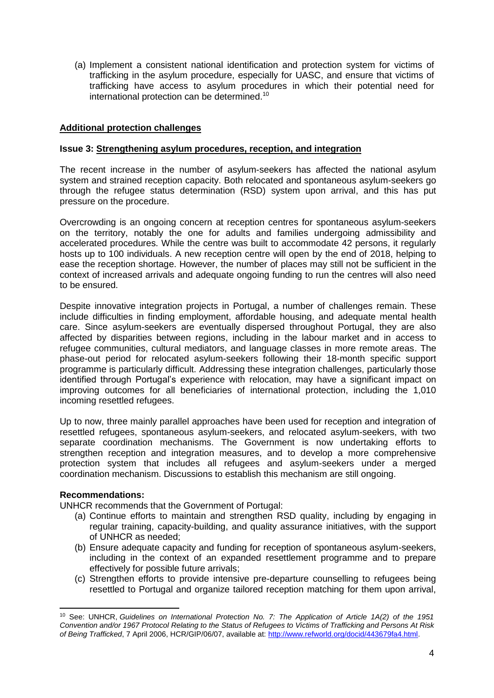(a) Implement a consistent national identification and protection system for victims of trafficking in the asylum procedure, especially for UASC, and ensure that victims of trafficking have access to asylum procedures in which their potential need for international protection can be determined. 10

# **Additional protection challenges**

### **Issue 3: Strengthening asylum procedures, reception, and integration**

The recent increase in the number of asylum-seekers has affected the national asylum system and strained reception capacity. Both relocated and spontaneous asylum-seekers go through the refugee status determination (RSD) system upon arrival, and this has put pressure on the procedure.

Overcrowding is an ongoing concern at reception centres for spontaneous asylum-seekers on the territory, notably the one for adults and families undergoing admissibility and accelerated procedures. While the centre was built to accommodate 42 persons, it regularly hosts up to 100 individuals. A new reception centre will open by the end of 2018, helping to ease the reception shortage. However, the number of places may still not be sufficient in the context of increased arrivals and adequate ongoing funding to run the centres will also need to be ensured.

Despite innovative integration projects in Portugal, a number of challenges remain. These include difficulties in finding employment, affordable housing, and adequate mental health care. Since asylum-seekers are eventually dispersed throughout Portugal, they are also affected by disparities between regions, including in the labour market and in access to refugee communities, cultural mediators, and language classes in more remote areas. The phase-out period for relocated asylum-seekers following their 18-month specific support programme is particularly difficult. Addressing these integration challenges, particularly those identified through Portugal's experience with relocation, may have a significant impact on improving outcomes for all beneficiaries of international protection, including the 1,010 incoming resettled refugees.

Up to now, three mainly parallel approaches have been used for reception and integration of resettled refugees, spontaneous asylum-seekers, and relocated asylum-seekers, with two separate coordination mechanisms. The Government is now undertaking efforts to strengthen reception and integration measures, and to develop a more comprehensive protection system that includes all refugees and asylum-seekers under a merged coordination mechanism. Discussions to establish this mechanism are still ongoing.

# **Recommendations:**

**.** 

UNHCR recommends that the Government of Portugal:

- (a) Continue efforts to maintain and strengthen RSD quality, including by engaging in regular training, capacity-building, and quality assurance initiatives, with the support of UNHCR as needed;
- (b) Ensure adequate capacity and funding for reception of spontaneous asylum-seekers, including in the context of an expanded resettlement programme and to prepare effectively for possible future arrivals;
- (c) Strengthen efforts to provide intensive pre-departure counselling to refugees being resettled to Portugal and organize tailored reception matching for them upon arrival,

<sup>10</sup> See: UNHCR, *Guidelines on International Protection No. 7: The Application of Article 1A(2) of the 1951 Convention and/or 1967 Protocol Relating to the Status of Refugees to Victims of Trafficking and Persons At Risk of Being Trafficked*, 7 April 2006, HCR/GIP/06/07, available at: [http://www.refworld.org/docid/443679fa4.html.](http://www.refworld.org/docid/443679fa4.html)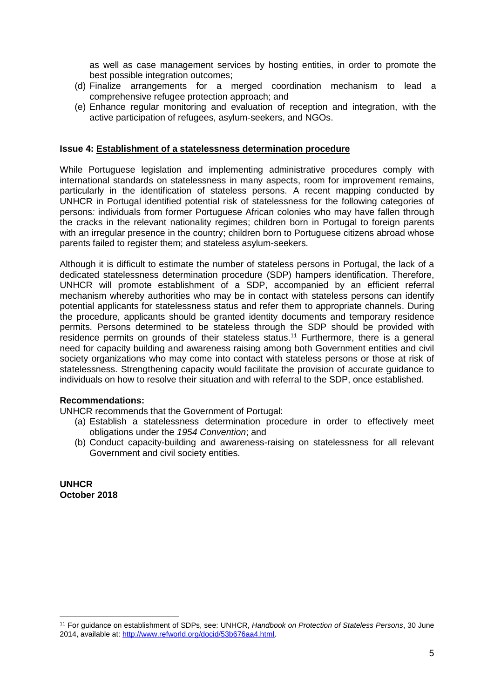as well as case management services by hosting entities, in order to promote the best possible integration outcomes;

- (d) Finalize arrangements for a merged coordination mechanism to lead a comprehensive refugee protection approach; and
- (e) Enhance regular monitoring and evaluation of reception and integration, with the active participation of refugees, asylum-seekers, and NGOs.

#### **Issue 4: Establishment of a statelessness determination procedure**

While Portuguese legislation and implementing administrative procedures comply with international standards on statelessness in many aspects, room for improvement remains, particularly in the identification of stateless persons. A recent mapping conducted by UNHCR in Portugal identified potential risk of statelessness for the following categories of persons*:* individuals from former Portuguese African colonies who may have fallen through the cracks in the relevant nationality regimes; children born in Portugal to foreign parents with an irregular presence in the country; children born to Portuguese citizens abroad whose parents failed to register them; and stateless asylum-seekers.

Although it is difficult to estimate the number of stateless persons in Portugal, the lack of a dedicated statelessness determination procedure (SDP) hampers identification. Therefore, UNHCR will promote establishment of a SDP, accompanied by an efficient referral mechanism whereby authorities who may be in contact with stateless persons can identify potential applicants for statelessness status and refer them to appropriate channels. During the procedure, applicants should be granted identity documents and temporary residence permits. Persons determined to be stateless through the SDP should be provided with residence permits on grounds of their stateless status.<sup>11</sup> Furthermore, there is a general need for capacity building and awareness raising among both Government entities and civil society organizations who may come into contact with stateless persons or those at risk of statelessness. Strengthening capacity would facilitate the provision of accurate guidance to individuals on how to resolve their situation and with referral to the SDP, once established.

### **Recommendations:**

UNHCR recommends that the Government of Portugal:

- (a) Establish a statelessness determination procedure in order to effectively meet obligations under the *1954 Convention*; and
- (b) Conduct capacity-building and awareness-raising on statelessness for all relevant Government and civil society entities.

**UNHCR October 2018**

<sup>1</sup> <sup>11</sup> For guidance on establishment of SDPs, see: UNHCR, *Handbook on Protection of Stateless Persons*, 30 June 2014, available at[: http://www.refworld.org/docid/53b676aa4.html.](http://www.refworld.org/docid/53b676aa4.html)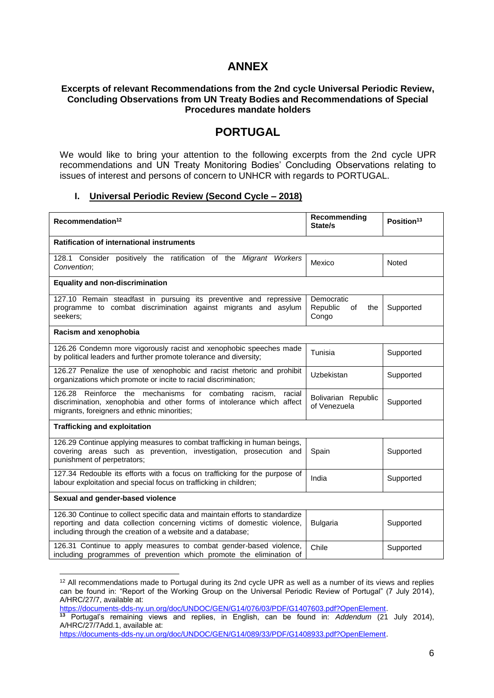# **ANNEX**

### **Excerpts of relevant Recommendations from the 2nd cycle Universal Periodic Review, Concluding Observations from UN Treaty Bodies and Recommendations of Special Procedures mandate holders**

# **PORTUGAL**

We would like to bring your attention to the following excerpts from the 2nd cycle UPR recommendations and UN Treaty Monitoring Bodies' Concluding Observations relating to issues of interest and persons of concern to UNHCR with regards to PORTUGAL.

# **I. Universal Periodic Review (Second Cycle – 2018)**

| Recommendation <sup>12</sup>                                                                                                                                                                                          | Recommending<br>State/s                      | Position <sup>13</sup> |  |
|-----------------------------------------------------------------------------------------------------------------------------------------------------------------------------------------------------------------------|----------------------------------------------|------------------------|--|
| <b>Ratification of international instruments</b>                                                                                                                                                                      |                                              |                        |  |
| 128.1 Consider positively the ratification of the Migrant Workers<br>Convention:                                                                                                                                      | Mexico                                       | Noted                  |  |
| <b>Equality and non-discrimination</b>                                                                                                                                                                                |                                              |                        |  |
| 127.10 Remain steadfast in pursuing its preventive and repressive<br>programme to combat discrimination against migrants and asylum<br>seekers:                                                                       | Democratic<br>Republic<br>of<br>the<br>Congo | Supported              |  |
| Racism and xenophobia                                                                                                                                                                                                 |                                              |                        |  |
| 126.26 Condemn more vigorously racist and xenophobic speeches made<br>by political leaders and further promote tolerance and diversity;                                                                               | Tunisia                                      | Supported              |  |
| 126.27 Penalize the use of xenophobic and racist rhetoric and prohibit<br>organizations which promote or incite to racial discrimination;                                                                             | <b>Uzbekistan</b>                            | Supported              |  |
| 126.28 Reinforce the mechanisms for combating<br>racism,<br>racial<br>discrimination, xenophobia and other forms of intolerance which affect<br>migrants, foreigners and ethnic minorities;                           | Bolivarian Republic<br>of Venezuela          | Supported              |  |
| <b>Trafficking and exploitation</b>                                                                                                                                                                                   |                                              |                        |  |
| 126.29 Continue applying measures to combat trafficking in human beings,<br>covering areas such as prevention, investigation, prosecution and<br>punishment of perpetrators;                                          | Spain                                        | Supported              |  |
| 127.34 Redouble its efforts with a focus on trafficking for the purpose of<br>labour exploitation and special focus on trafficking in children;                                                                       | India                                        | Supported              |  |
| Sexual and gender-based violence                                                                                                                                                                                      |                                              |                        |  |
| 126.30 Continue to collect specific data and maintain efforts to standardize<br>reporting and data collection concerning victims of domestic violence,<br>including through the creation of a website and a database; | <b>Bulgaria</b>                              | Supported              |  |
| 126.31 Continue to apply measures to combat gender-based violence,<br>including programmes of prevention which promote the elimination of                                                                             | Chile                                        | Supported              |  |

<sup>1</sup> <sup>12</sup> All recommendations made to Portugal during its 2nd cycle UPR as well as a number of its views and replies can be found in: "Report of the Working Group on the Universal Periodic Review of Portugal" (7 July 2014), A/HRC/27/7, available at:

[https://documents-dds-ny.un.org/doc/UNDOC/GEN/G14/076/03/PDF/G1407603.pdf?OpenElement.](https://documents-dds-ny.un.org/doc/UNDOC/GEN/G14/076/03/PDF/G1407603.pdf?OpenElement)

**<sup>13</sup>** Portugal's remaining views and replies, in English, can be found in: *Addendum* (21 July 2014), A/HRC/27/7Add.1, available at:

[https://documents-dds-ny.un.org/doc/UNDOC/GEN/G14/089/33/PDF/G1408933.pdf?OpenElement.](https://documents-dds-ny.un.org/doc/UNDOC/GEN/G14/089/33/PDF/G1408933.pdf?OpenElement)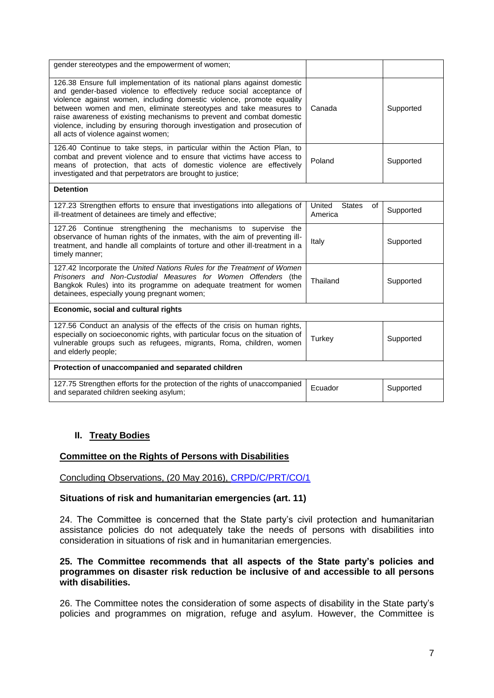| gender stereotypes and the empowerment of women;                                                                                                                                                                                                                                                                                                                                                                                                                                            |                                          |           |  |
|---------------------------------------------------------------------------------------------------------------------------------------------------------------------------------------------------------------------------------------------------------------------------------------------------------------------------------------------------------------------------------------------------------------------------------------------------------------------------------------------|------------------------------------------|-----------|--|
| 126.38 Ensure full implementation of its national plans against domestic<br>and gender-based violence to effectively reduce social acceptance of<br>violence against women, including domestic violence, promote equality<br>between women and men, eliminate stereotypes and take measures to<br>raise awareness of existing mechanisms to prevent and combat domestic<br>violence, including by ensuring thorough investigation and prosecution of<br>all acts of violence against women; | Canada                                   | Supported |  |
| 126.40 Continue to take steps, in particular within the Action Plan, to<br>combat and prevent violence and to ensure that victims have access to<br>means of protection, that acts of domestic violence are effectively<br>investigated and that perpetrators are brought to justice;                                                                                                                                                                                                       | Poland                                   | Supported |  |
| <b>Detention</b>                                                                                                                                                                                                                                                                                                                                                                                                                                                                            |                                          |           |  |
| 127.23 Strengthen efforts to ensure that investigations into allegations of<br>ill-treatment of detainees are timely and effective;                                                                                                                                                                                                                                                                                                                                                         | United<br><b>States</b><br>of<br>America | Supported |  |
| 127.26 Continue strengthening the mechanisms to supervise the<br>observance of human rights of the inmates, with the aim of preventing ill-<br>treatment, and handle all complaints of torture and other ill-treatment in a<br>timely manner;                                                                                                                                                                                                                                               | Italy                                    | Supported |  |
| 127.42 Incorporate the United Nations Rules for the Treatment of Women<br>Prisoners and Non-Custodial Measures for Women Offenders (the<br>Bangkok Rules) into its programme on adequate treatment for women<br>detainees, especially young pregnant women;                                                                                                                                                                                                                                 | Thailand                                 | Supported |  |
| Economic, social and cultural rights                                                                                                                                                                                                                                                                                                                                                                                                                                                        |                                          |           |  |
| 127.56 Conduct an analysis of the effects of the crisis on human rights,<br>especially on socioeconomic rights, with particular focus on the situation of<br>vulnerable groups such as refugees, migrants, Roma, children, women<br>and elderly people;                                                                                                                                                                                                                                     | Turkey                                   | Supported |  |
| Protection of unaccompanied and separated children                                                                                                                                                                                                                                                                                                                                                                                                                                          |                                          |           |  |
| 127.75 Strengthen efforts for the protection of the rights of unaccompanied<br>and separated children seeking asylum;                                                                                                                                                                                                                                                                                                                                                                       | Ecuador                                  | Supported |  |

# **II. Treaty Bodies**

# **Committee on the Rights of Persons with Disabilities**

Concluding Observations, (20 May 2016), [CRPD/C/PRT/CO/1](file:///C:/Users/Nozawa/AppData/Local/Microsoft/TRUSCAN/Documents/UPR33/LoE/Portugal_CRPD_2016.pdf)

# **Situations of risk and humanitarian emergencies (art. 11)**

24. The Committee is concerned that the State party's civil protection and humanitarian assistance policies do not adequately take the needs of persons with disabilities into consideration in situations of risk and in humanitarian emergencies.

#### **25. The Committee recommends that all aspects of the State party's policies and programmes on disaster risk reduction be inclusive of and accessible to all persons with disabilities.**

26. The Committee notes the consideration of some aspects of disability in the State party's policies and programmes on migration, refuge and asylum. However, the Committee is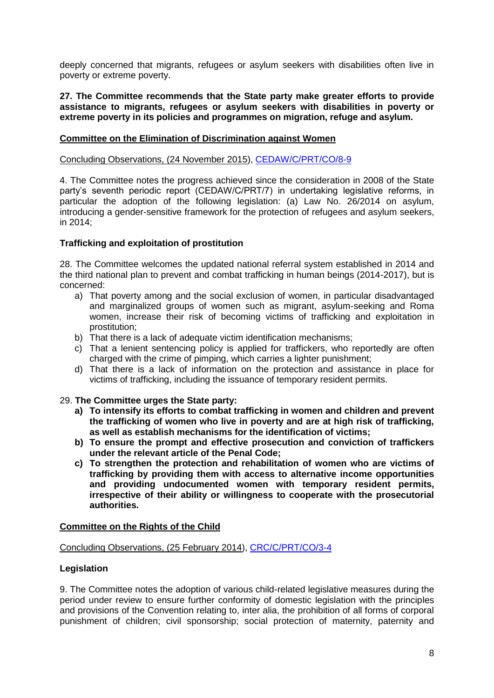deeply concerned that migrants, refugees or asylum seekers with disabilities often live in poverty or extreme poverty.

## **27. The Committee recommends that the State party make greater efforts to provide assistance to migrants, refugees or asylum seekers with disabilities in poverty or extreme poverty in its policies and programmes on migration, refuge and asylum.**

# **Committee on the Elimination of Discrimination against Women**

## Concluding Observations, (24 November 2015), [CEDAW/C/PRT/CO/8-9](file:///C:/Users/Nozawa/AppData/Local/Microsoft/TRUSCAN/Documents/UPR33/LoE/Portugal_CEDAW_2015.pdf)

4. The Committee notes the progress achieved since the consideration in 2008 of the State party's seventh periodic report (CEDAW/C/PRT/7) in undertaking legislative reforms, in particular the adoption of the following legislation: (a) Law No. 26/2014 on asylum, introducing a gender-sensitive framework for the protection of refugees and asylum seekers, in 2014;

# **Trafficking and exploitation of prostitution**

28. The Committee welcomes the updated national referral system established in 2014 and the third national plan to prevent and combat trafficking in human beings (2014-2017), but is concerned:

- a) That poverty among and the social exclusion of women, in particular disadvantaged and marginalized groups of women such as migrant, asylum-seeking and Roma women, increase their risk of becoming victims of trafficking and exploitation in prostitution;
- b) That there is a lack of adequate victim identification mechanisms;
- c) That a lenient sentencing policy is applied for traffickers, who reportedly are often charged with the crime of pimping, which carries a lighter punishment;
- d) That there is a lack of information on the protection and assistance in place for victims of trafficking, including the issuance of temporary resident permits.

#### 29. **The Committee urges the State party:**

- **a) To intensify its efforts to combat trafficking in women and children and prevent the trafficking of women who live in poverty and are at high risk of trafficking, as well as establish mechanisms for the identification of victims;**
- **b) To ensure the prompt and effective prosecution and conviction of traffickers under the relevant article of the Penal Code;**
- **c) To strengthen the protection and rehabilitation of women who are victims of trafficking by providing them with access to alternative income opportunities and providing undocumented women with temporary resident permits, irrespective of their ability or willingness to cooperate with the prosecutorial authorities.**

# **Committee on the Rights of the Child**

#### Concluding Observations, (25 February 2014), [CRC/C/PRT/CO/3-4](file:///C:/Users/Nozawa/AppData/Local/Microsoft/TRUSCAN/Documents/UPR33/LoE/Portugal_CRC_2014.pdf)

# **Legislation**

9. The Committee notes the adoption of various child-related legislative measures during the period under review to ensure further conformity of domestic legislation with the principles and provisions of the Convention relating to, inter alia, the prohibition of all forms of corporal punishment of children; civil sponsorship; social protection of maternity, paternity and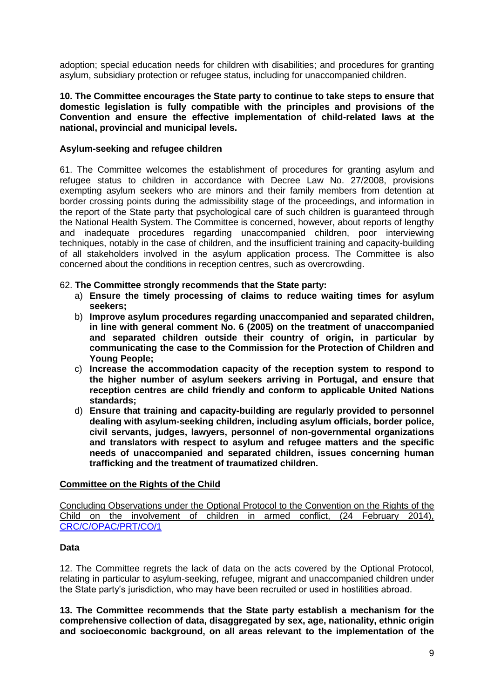adoption; special education needs for children with disabilities; and procedures for granting asylum, subsidiary protection or refugee status, including for unaccompanied children.

**10. The Committee encourages the State party to continue to take steps to ensure that domestic legislation is fully compatible with the principles and provisions of the Convention and ensure the effective implementation of child-related laws at the national, provincial and municipal levels.**

### **Asylum-seeking and refugee children**

61. The Committee welcomes the establishment of procedures for granting asylum and refugee status to children in accordance with Decree Law No. 27/2008, provisions exempting asylum seekers who are minors and their family members from detention at border crossing points during the admissibility stage of the proceedings, and information in the report of the State party that psychological care of such children is guaranteed through the National Health System. The Committee is concerned, however, about reports of lengthy and inadequate procedures regarding unaccompanied children, poor interviewing techniques, notably in the case of children, and the insufficient training and capacity-building of all stakeholders involved in the asylum application process. The Committee is also concerned about the conditions in reception centres, such as overcrowding.

### 62. **The Committee strongly recommends that the State party:**

- a) **Ensure the timely processing of claims to reduce waiting times for asylum seekers;**
- b) **Improve asylum procedures regarding unaccompanied and separated children, in line with general comment No. 6 (2005) on the treatment of unaccompanied and separated children outside their country of origin, in particular by communicating the case to the Commission for the Protection of Children and Young People;**
- c) **Increase the accommodation capacity of the reception system to respond to the higher number of asylum seekers arriving in Portugal, and ensure that reception centres are child friendly and conform to applicable United Nations standards;**
- d) **Ensure that training and capacity-building are regularly provided to personnel dealing with asylum-seeking children, including asylum officials, border police, civil servants, judges, lawyers, personnel of non-governmental organizations and translators with respect to asylum and refugee matters and the specific needs of unaccompanied and separated children, issues concerning human trafficking and the treatment of traumatized children.**

#### **Committee on the Rights of the Child**

Concluding Observations under the Optional Protocol to the Convention on the Rights of the Child on the involvement of children in armed conflict, (24 February 2014), [CRC/C/OPAC/PRT/CO/1](file:///C:/Users/Nozawa/AppData/Local/Microsoft/TRUSCAN/Documents/UPR33/LoE/Portugal_CRC_OPAC_2014.pdf)

#### **Data**

12. The Committee regrets the lack of data on the acts covered by the Optional Protocol, relating in particular to asylum-seeking, refugee, migrant and unaccompanied children under the State party's jurisdiction, who may have been recruited or used in hostilities abroad.

**13. The Committee recommends that the State party establish a mechanism for the comprehensive collection of data, disaggregated by sex, age, nationality, ethnic origin and socioeconomic background, on all areas relevant to the implementation of the**